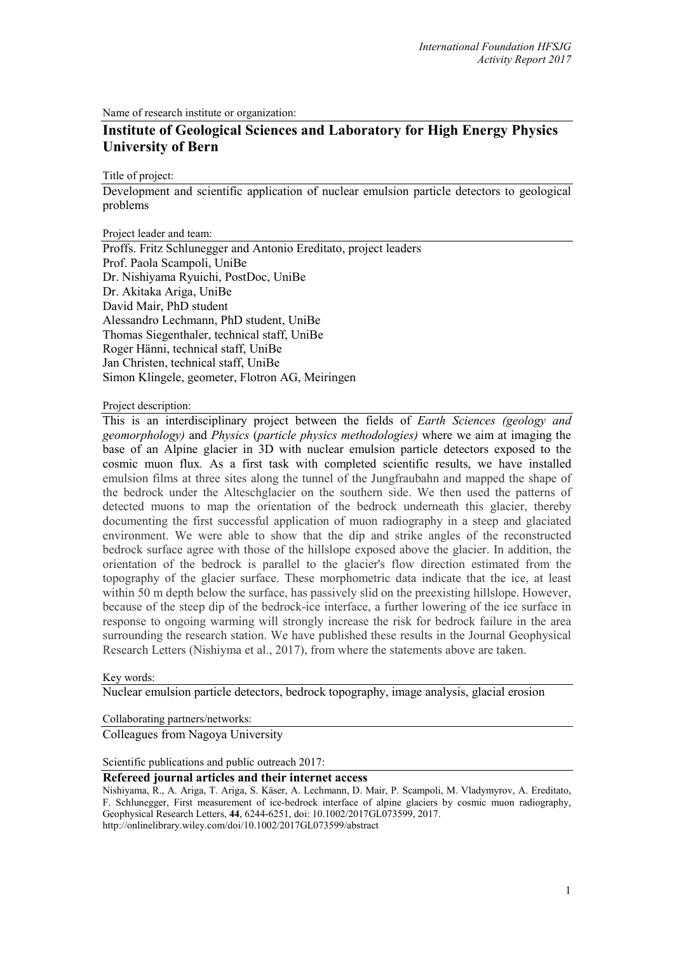Name of research institute or organization:

## **Institute of Geological Sciences and Laboratory for High Energy Physics University of Bern**

Title of project:

Development and scientific application of nuclear emulsion particle detectors to geological problems

Project leader and team:

Proffs. Fritz Schlunegger and Antonio Ereditato, project leaders Prof. Paola Scampoli, UniBe Dr. Nishiyama Ryuichi, PostDoc, UniBe Dr. Akitaka Ariga, UniBe David Mair, PhD student Alessandro Lechmann, PhD student, UniBe Thomas Siegenthaler, technical staff, UniBe Roger Hänni, technical staff, UniBe Jan Christen, technical staff, UniBe Simon Klingele, geometer, Flotron AG, Meiringen

Project description:

This is an interdisciplinary project between the fields of *Earth Sciences (geology and geomorphology)* and *Physics* (*particle physics methodologies)* where we aim at imaging the base of an Alpine glacier in 3D with nuclear emulsion particle detectors exposed to the cosmic muon flux*.* As a first task with completed scientific results, we have installed emulsion films at three sites along the tunnel of the Jungfraubahn and mapped the shape of the bedrock under the Alteschglacier on the southern side. We then used the patterns of detected muons to map the orientation of the bedrock underneath this glacier, thereby documenting the first successful application of muon radiography in a steep and glaciated environment. We were able to show that the dip and strike angles of the reconstructed bedrock surface agree with those of the hillslope exposed above the glacier. In addition, the orientation of the bedrock is parallel to the glacier's flow direction estimated from the topography of the glacier surface. These morphometric data indicate that the ice, at least within 50 m depth below the surface, has passively slid on the preexisting hillslope. However, because of the steep dip of the bedrock-ice interface, a further lowering of the ice surface in response to ongoing warming will strongly increase the risk for bedrock failure in the area surrounding the research station. We have published these results in the Journal Geophysical Research Letters (Nishiyma et al., 2017), from where the statements above are taken.

Key words:

Nuclear emulsion particle detectors, bedrock topography, image analysis, glacial erosion

Collaborating partners/networks:

Colleagues from Nagoya University

Scientific publications and public outreach 2017:

**Refereed journal articles and their internet access**

Nishiyama, R., A. Ariga, T. Ariga, S. Käser, A. Lechmann, D. Mair, P. Scampoli, M. Vladymyrov, A. Ereditato, F. Schlunegger, First measurement of ice-bedrock interface of alpine glaciers by cosmic muon radiography, Geophysical Research Letters, **44**, 6244-6251, doi: 10.1002/2017GL073599, 2017.

http://onlinelibrary.wiley.com/doi/10.1002/2017GL073599/abstract